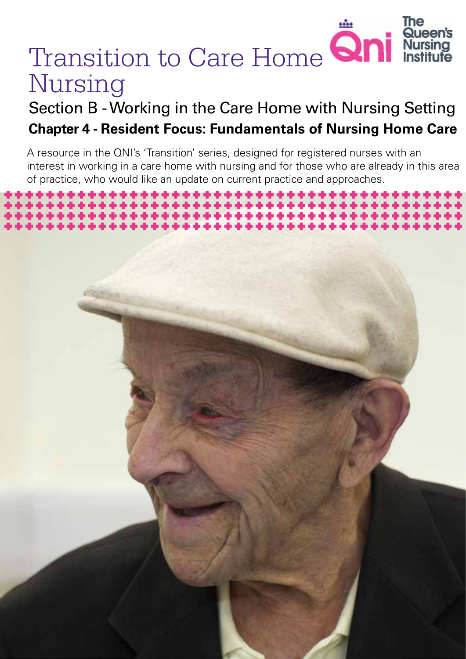# Transition to Care Home **Qni** Queen's Nursing

# Section B - Working in the Care Home with Nursing Setting **Chapter 4 - Resident Focus: Fundamentals of Nursing Home Care**

A resource in the QNI's 'Transition' series, designed for registered nurses with an interest in working in a care home with nursing and for those who are already in this area of practice, who would like an update on current practice and approaches.

*Transition to Care Home Nursing 1*

The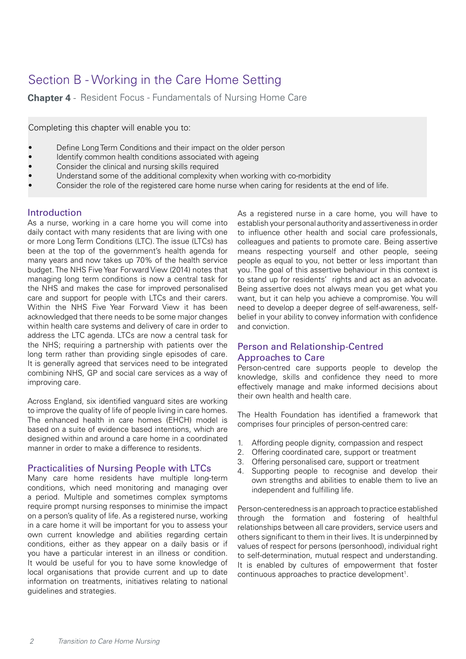# Section B - Working in the Care Home Setting

**Chapter 4** - Resident Focus - Fundamentals of Nursing Home Care

Completing this chapter will enable you to:

- Define Long Term Conditions and their impact on the older person
- Identify common health conditions associated with ageing
- Consider the clinical and nursing skills required
- Understand some of the additional complexity when working with co-morbidity
- Consider the role of the registered care home nurse when caring for residents at the end of life.

## Introduction

As a nurse, working in a care home you will come into daily contact with many residents that are living with one or more Long Term Conditions (LTC). The issue (LTCs) has been at the top of the government's health agenda for many years and now takes up 70% of the health service budget. The NHS Five Year Forward View (2014) notes that managing long term conditions is now a central task for the NHS and makes the case for improved personalised care and support for people with LTCs and their carers. Within the NHS Five Year Forward View it has been acknowledged that there needs to be some major changes within health care systems and delivery of care in order to address the LTC agenda. LTCs are now a central task for the NHS; requiring a partnership with patients over the long term rather than providing single episodes of care. It is generally agreed that services need to be integrated combining NHS, GP and social care services as a way of improving care.

Across England, six identified vanguard sites are working to improve the quality of life of people living in care homes. The enhanced health in care homes (EHCH) model is based on a suite of evidence based intentions, which are designed within and around a care home in a coordinated manner in order to make a difference to residents.

## Practicalities of Nursing People with LTCs

Many care home residents have multiple long-term conditions, which need monitoring and managing over a period. Multiple and sometimes complex symptoms require prompt nursing responses to minimise the impact on a person's quality of life. As a registered nurse, working in a care home it will be important for you to assess your own current knowledge and abilities regarding certain conditions, either as they appear on a daily basis or if you have a particular interest in an illness or condition. It would be useful for you to have some knowledge of local organisations that provide current and up to date information on treatments, initiatives relating to national guidelines and strategies.

As a registered nurse in a care home, you will have to establish your personal authority and assertiveness in order to influence other health and social care professionals, colleagues and patients to promote care. Being assertive means respecting yourself and other people, seeing people as equal to you, not better or less important than you. The goal of this assertive behaviour in this context is to stand up for residents' rights and act as an advocate. Being assertive does not always mean you get what you want, but it can help you achieve a compromise. You will need to develop a deeper degree of self-awareness, selfbelief in your ability to convey information with confidence and conviction.

# Person and Relationship-Centred Approaches to Care

Person-centred care supports people to develop the knowledge, skills and confidence they need to more effectively manage and make informed decisions about their own health and health care.

The Health Foundation has identified a framework that comprises four principles of person-centred care:

- 1. Affording people dignity, compassion and respect
- 2. Offering coordinated care, support or treatment
- 3. Offering personalised care, support or treatment
- 4. Supporting people to recognise and develop their own strengths and abilities to enable them to live an independent and fulfilling life.

Person-centeredness is an approach to practice established through the formation and fostering of healthful relationships between all care providers, service users and others significant to them in their lives. It is underpinned by values of respect for persons (personhood), individual right to self-determination, mutual respect and understanding. It is enabled by cultures of empowerment that foster continuous approaches to practice development<sup>1</sup>.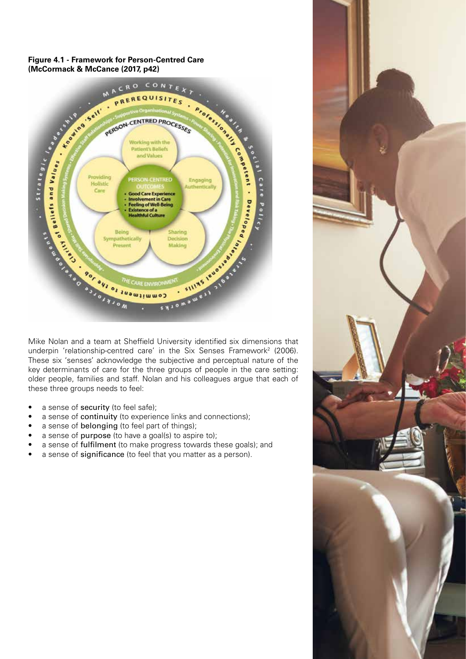#### **Figure 4.1 - Framework for Person-Centred Care (McCormack & McCance (2017, p42)**



underpin 'relationship-centred care' in the Six Senses Framework<sup>2</sup> (2006). These six 'senses' acknowledge the subjective and perceptual nature of the key determinants of care for the three groups of people in the care setting: older people, families and staff. Nolan and his colleagues argue that each of these three groups needs to feel:

- a sense of security (to feel safe);
- a sense of continuity (to experience links and connections);
- a sense of **belonging** (to feel part of things);
- a sense of purpose (to have a goal(s) to aspire to);
- a sense of fulfilment (to make progress towards these goals); and
- a sense of significance (to feel that you matter as a person).

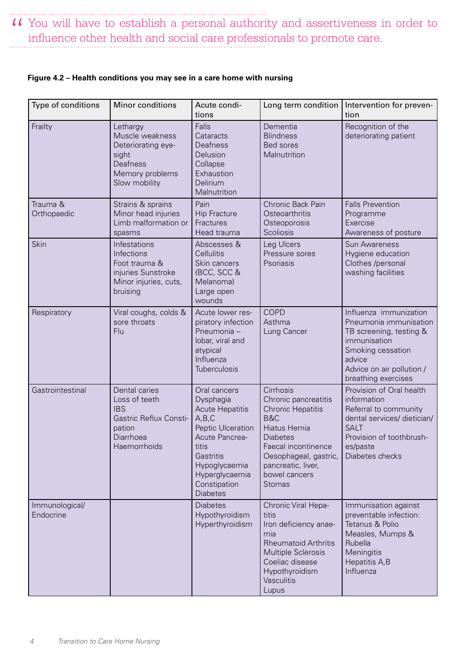II You will have to establish a personal authority and assertiveness in order to influence other health and social care professionals to promote care. influence other health and social care professionals to promote care.

| Type of conditions          | Minor conditions                                                                                              | Acute condi-<br>tions                                                                                                                                                                             | Long term condition                                                                                                                                                                                       | Intervention for preven-<br>tion                                                                                                                                               |
|-----------------------------|---------------------------------------------------------------------------------------------------------------|---------------------------------------------------------------------------------------------------------------------------------------------------------------------------------------------------|-----------------------------------------------------------------------------------------------------------------------------------------------------------------------------------------------------------|--------------------------------------------------------------------------------------------------------------------------------------------------------------------------------|
| Frailty                     | Lethargy<br>Muscle weakness<br>Deteriorating eye-<br>sight<br>Deafness<br>Memory problems<br>Slow mobility    | Falls<br>Cataracts<br>Deafness<br>Delusion<br>Collapse<br>Exhaustion<br>Delirium<br>Malnutrition                                                                                                  | Dementia<br><b>Blindness</b><br>Bed sores<br>Malnutrition                                                                                                                                                 | Recognition of the<br>deteriorating patient                                                                                                                                    |
| Trauma &<br>Orthopaedic     | Strains & sprains<br>Minor head injuries<br>Limb malformation or<br>spasms                                    | Pain<br><b>Hip Fracture</b><br>Fractures<br>Head trauma                                                                                                                                           | Chronic Back Pain<br>Osteoarthritis<br>Osteoporosis<br>Scoliosis                                                                                                                                          | <b>Falls Prevention</b><br>Programme<br>Exercise<br>Awareness of posture                                                                                                       |
| Skin                        | Infestations<br>Infections<br>Foot trauma &<br>injuries Sunstroke<br>Minor injuries, cuts,<br>bruising        | Abscesses &<br>Cellulitis<br>Skin cancers<br>(BCC, SCC &<br>Melanoma)<br>Large open<br>wounds                                                                                                     | Leg Ulcers<br>Pressure sores<br>Psoriasis                                                                                                                                                                 | <b>Sun Awareness</b><br>Hygiene education<br>Clothes /personal<br>washing facilities                                                                                           |
| Respiratory                 | Viral coughs, colds &<br>sore throats<br>Flu                                                                  | Acute lower res-<br>piratory infection<br>Pneumonia -<br>lobar, viral and<br>atypical<br>Influenza<br><b>Tuberculosis</b>                                                                         | <b>COPD</b><br>Asthma<br>Lung Cancer                                                                                                                                                                      | Influenza immunization<br>Pneumonia immunisation<br>TB screening, testing &<br>immunisation<br>Smoking cessation<br>advice<br>Advice on air pollution /<br>breathing exercises |
| Gastrointestinal            | Dental caries<br>Loss of teeth<br><b>IBS</b><br>Gastric Reflux Consti-<br>pation<br>Diarrhoea<br>Haemorrhoids | Oral cancers<br>Dysphagia<br><b>Acute Hepatitis</b><br>A, B, C<br>Peptic Ulceration<br>Acute Pancrea-<br>titis<br>Gastritis<br>Hypoglycaemia<br>Hyperglycaemia<br>Constipation<br><b>Diabetes</b> | Cirrhosis<br>Chronic pancreatitis<br><b>Chronic Hepatitis</b><br>B&C<br>Hiatus Hernia<br><b>Diabetes</b><br>Faecal incontinence<br>Oesophageal, gastric,<br>pancreatic, liver,<br>bowel cancers<br>Stomas | Provision of Oral health<br>information<br>Referral to community<br>dental services/ dietician/<br><b>SALT</b><br>Provision of toothbrush-<br>es/paste<br>Diabetes checks      |
| Immunological/<br>Endocrine |                                                                                                               | <b>Diabetes</b><br>Hypothyroidism<br>Hyperthyroidism                                                                                                                                              | Chronic Viral Hepa-<br>titis<br>Iron deficiency anae-<br>mia<br><b>Rheumatoid Arthritis</b><br>Multiple Sclerosis<br>Coeliac disease<br>Hypothyroidism<br>Vasculitis<br>Lupus                             | Immunisation against<br>preventable infection:<br>Tetanus & Polio<br>Measles, Mumps &<br>Rubella<br>Meningitis<br>Hepatitis A, B<br>Influenza                                  |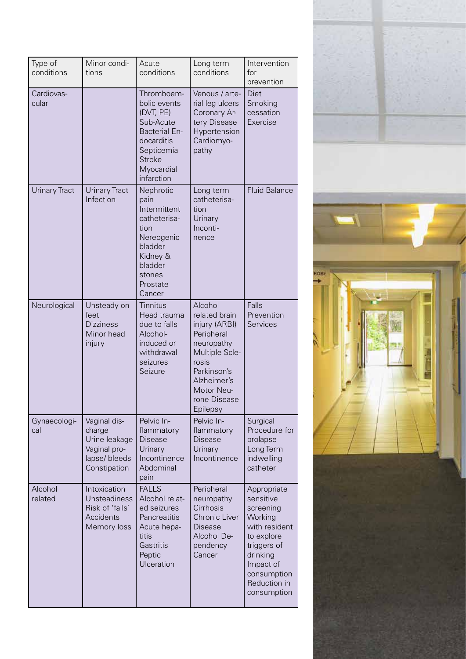| Type of<br>conditions | Minor condi-<br>tions                                                                    | Acute<br>conditions                                                                                                                                   | Long term<br>conditions                                                                                                                                                  | Intervention<br>for<br>prevention                                                                                                                                     |
|-----------------------|------------------------------------------------------------------------------------------|-------------------------------------------------------------------------------------------------------------------------------------------------------|--------------------------------------------------------------------------------------------------------------------------------------------------------------------------|-----------------------------------------------------------------------------------------------------------------------------------------------------------------------|
| Cardiovas-<br>cular   |                                                                                          | Thromboem-<br>bolic events<br>(DVT, PE)<br>Sub-Acute<br><b>Bacterial En-</b><br>docarditis<br>Septicemia<br><b>Stroke</b><br>Myocardial<br>infarction | Venous / arte-<br>rial leg ulcers<br>Coronary Ar-<br>tery Disease<br>Hypertension<br>Cardiomyo-<br>pathy                                                                 | Diet<br>Smoking<br>cessation<br>Exercise                                                                                                                              |
| <b>Urinary Tract</b>  | <b>Urinary Tract</b><br>Infection                                                        | Nephrotic<br>pain<br>Intermittent<br>catheterisa-<br>tion<br>Nereogenic<br>bladder<br>Kidney &<br>bladder<br>stones<br>Prostate<br>Cancer             | Long term<br>catheterisa-<br>tion<br>Urinary<br>Inconti-<br>nence                                                                                                        | <b>Fluid Balance</b>                                                                                                                                                  |
| Neurological          | Unsteady on<br>feet<br><b>Dizziness</b><br>Minor head<br>injury                          | Tinnitus<br>Head trauma<br>due to falls<br>Alcohol-<br>induced or<br>withdrawal<br>seizures<br>Seizure                                                | Alcohol<br>related brain<br>injury (ARBI)<br>Peripheral<br>neuropathy<br>Multiple Scle-<br>rosis<br>Parkinson's<br>Alzheimer's<br>Motor Neu-<br>rone Disease<br>Epilepsy | Falls<br>Prevention<br>Services                                                                                                                                       |
| Gynaecologi-<br>cal   | Vaginal dis-<br>charge<br>Urine leakage<br>Vaginal pro-<br>lapse/ bleeds<br>Constipation | Pelvic In-<br>flammatory<br><b>Disease</b><br>Urinary<br>Incontinence<br>Abdominal<br>pain                                                            | Pelvic In-<br>flammatory<br>Disease<br>Urinary<br>Incontinence                                                                                                           | Surgical<br>Procedure for<br>prolapse<br>Long Term<br>indwelling<br>catheter                                                                                          |
| Alcohol<br>related    | Intoxication<br><b>Unsteadiness</b><br>Risk of 'falls'<br>Accidents<br>Memory loss       | <b>FALLS</b><br>Alcohol relat-<br>ed seizures<br>Pancreatitis<br>Acute hepa-<br>titis<br>Gastritis<br>Peptic<br>Ulceration                            | Peripheral<br>neuropathy<br>Cirrhosis<br>Chronic Liver<br><b>Disease</b><br>Alcohol De-<br>pendency<br>Cancer                                                            | Appropriate<br>sensitive<br>screening<br>Working<br>with resident<br>to explore<br>triggers of<br>drinking<br>Impact of<br>consumption<br>Reduction in<br>consumption |



*Transition to Care Home Nursing 5*

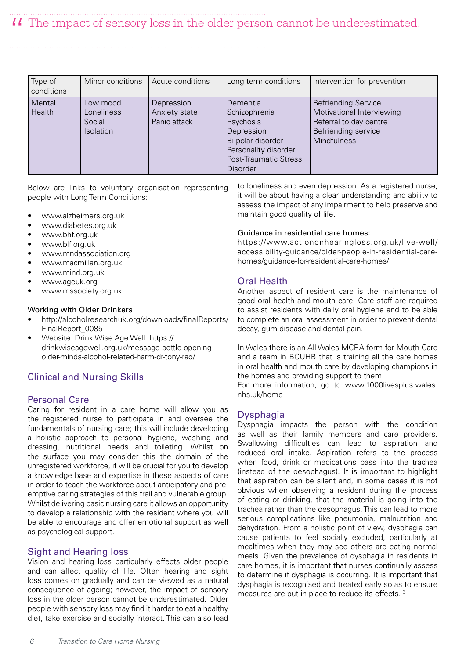# II The impact of sensory loss in the older person cannot be underestimated.

| Type of<br>conditions | Minor conditions                                     | Acute conditions                            | Long term conditions                                                                                                                          | Intervention for prevention                                                                                                    |
|-----------------------|------------------------------------------------------|---------------------------------------------|-----------------------------------------------------------------------------------------------------------------------------------------------|--------------------------------------------------------------------------------------------------------------------------------|
| Mental<br>Health      | Low mood<br>Loneliness<br>Social<br><b>Isolation</b> | Depression<br>Anxiety state<br>Panic attack | Dementia<br>Schizophrenia<br>Psychosis<br>Depression<br>Bi-polar disorder<br>Personality disorder<br>Post-Traumatic Stress<br><b>Disorder</b> | <b>Befriending Service</b><br>Motivational Interviewing<br>Referral to day centre<br>Befriending service<br><b>Mindfulness</b> |

Below are links to voluntary organisation representing people with Long Term Conditions:

- www.alzheimers.org.uk
- www.diabetes.org.uk
- www.bhf.org.uk
- www.blf.org.uk
- www.mndassociation.org
- www.macmillan.org.uk
- www.mind.org.uk
- www.ageuk.org
- www.mssociety.org.uk

#### Working with Older Drinkers

- http://alcoholresearchuk.org/downloads/finalReports/ FinalReport\_0085
- Website: Drink Wise Age Well: https:// drinkwiseagewell.org.uk/message-bottle-openingolder-minds-alcohol-related-harm-dr-tony-rao/

## Clinical and Nursing Skills

## Personal Care

Caring for resident in a care home will allow you as the registered nurse to participate in and oversee the fundamentals of nursing care; this will include developing a holistic approach to personal hygiene, washing and dressing, nutritional needs and toileting. Whilst on the surface you may consider this the domain of the unregistered workforce, it will be crucial for you to develop a knowledge base and expertise in these aspects of care in order to teach the workforce about anticipatory and preemptive caring strategies of this frail and vulnerable group. Whilst delivering basic nursing care it allows an opportunity to develop a relationship with the resident where you will be able to encourage and offer emotional support as well as psychological support.

## Sight and Hearing loss

Vision and hearing loss particularly effects older people and can affect quality of life. Often hearing and sight loss comes on gradually and can be viewed as a natural consequence of ageing; however, the impact of sensory loss in the older person cannot be underestimated. Older people with sensory loss may find it harder to eat a healthy diet, take exercise and socially interact. This can also lead to loneliness and even depression. As a registered nurse, it will be about having a clear understanding and ability to assess the impact of any impairment to help preserve and maintain good quality of life.

#### Guidance in residential care homes:

https://www.actiononhearingloss.org.uk/live-well/ accessibility-guidance/older-people-in-residential-carehomes/guidance-for-residential-care-homes/

#### Oral Health

Another aspect of resident care is the maintenance of good oral health and mouth care. Care staff are required to assist residents with daily oral hygiene and to be able to complete an oral assessment in order to prevent dental decay, gum disease and dental pain.

In Wales there is an All Wales MCRA form for Mouth Care and a team in BCUHB that is training all the care homes in oral health and mouth care by developing champions in the homes and providing support to them.

For more information, go to www.1000livesplus.wales. nhs.uk/home

#### **Dysphagia**

Dysphagia impacts the person with the condition as well as their family members and care providers. Swallowing difficulties can lead to aspiration and reduced oral intake. Aspiration refers to the process when food, drink or medications pass into the trachea (instead of the oesophagus). It is important to highlight that aspiration can be silent and, in some cases it is not obvious when observing a resident during the process of eating or drinking, that the material is going into the trachea rather than the oesophagus. This can lead to more serious complications like pneumonia, malnutrition and dehydration. From a holistic point of view, dysphagia can cause patients to feel socially excluded, particularly at mealtimes when they may see others are eating normal meals. Given the prevalence of dysphagia in residents in care homes, it is important that nurses continually assess to determine if dysphagia is occurring. It is important that dysphagia is recognised and treated early so as to ensure measures are put in place to reduce its effects. 3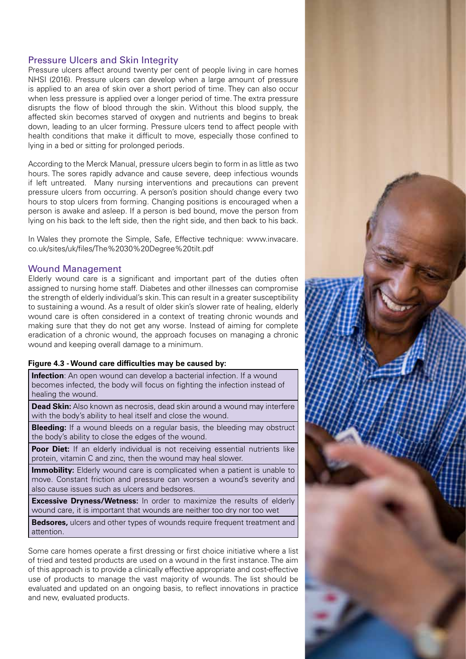## Pressure Ulcers and Skin Integrity

Pressure ulcers affect around twenty per cent of people living in care homes NHSI (2016). Pressure ulcers can develop when a large amount of pressure is applied to an area of skin over a short period of time. They can also occur when less pressure is applied over a longer period of time. The extra pressure disrupts the flow of blood through the skin. Without this blood supply, the affected skin becomes starved of oxygen and nutrients and begins to break down, leading to an ulcer forming. Pressure ulcers tend to affect people with health conditions that make it difficult to move, especially those confined to lying in a bed or sitting for prolonged periods.

According to the Merck Manual, pressure ulcers begin to form in as little as two hours. The sores rapidly advance and cause severe, deep infectious wounds if left untreated. Many nursing interventions and precautions can prevent pressure ulcers from occurring. A person's position should change every two hours to stop ulcers from forming. Changing positions is encouraged when a person is awake and asleep. If a person is bed bound, move the person from lying on his back to the left side, then the right side, and then back to his back.

In Wales they promote the Simple, Safe, Effective technique: www.invacare. co.uk/sites/uk/files/The%2030%20Degree%20tilt.pdf

#### Wound Management

Elderly wound care is a significant and important part of the duties often assigned to nursing home staff. Diabetes and other illnesses can compromise the strength of elderly individual's skin. This can result in a greater susceptibility to sustaining a wound. As a result of older skin's slower rate of healing, elderly wound care is often considered in a context of treating chronic wounds and making sure that they do not get any worse. Instead of aiming for complete eradication of a chronic wound, the approach focuses on managing a chronic wound and keeping overall damage to a minimum.

#### **Figure 4.3 - Wound care difficulties may be caused by:**

**Infection**: An open wound can develop a bacterial infection. If a wound becomes infected, the body will focus on fighting the infection instead of healing the wound.

**Dead Skin:** Also known as necrosis, dead skin around a wound may interfere with the body's ability to heal itself and close the wound.

**Bleeding:** If a wound bleeds on a regular basis, the bleeding may obstruct the body's ability to close the edges of the wound.

Poor Diet: If an elderly individual is not receiving essential nutrients like protein, vitamin C and zinc, then the wound may heal slower.

**Immobility:** Elderly wound care is complicated when a patient is unable to move. Constant friction and pressure can worsen a wound's severity and also cause issues such as ulcers and bedsores.

**Excessive Dryness/Wetness:** In order to maximize the results of elderly wound care, it is important that wounds are neither too dry nor too wet

**Bedsores,** ulcers and other types of wounds require frequent treatment and attention.

Some care homes operate a first dressing or first choice initiative where a list of tried and tested products are used on a wound in the first instance. The aim of this approach is to provide a clinically effective appropriate and cost-effective use of products to manage the vast majority of wounds. The list should be evaluated and updated on an ongoing basis, to reflect innovations in practice and new, evaluated products.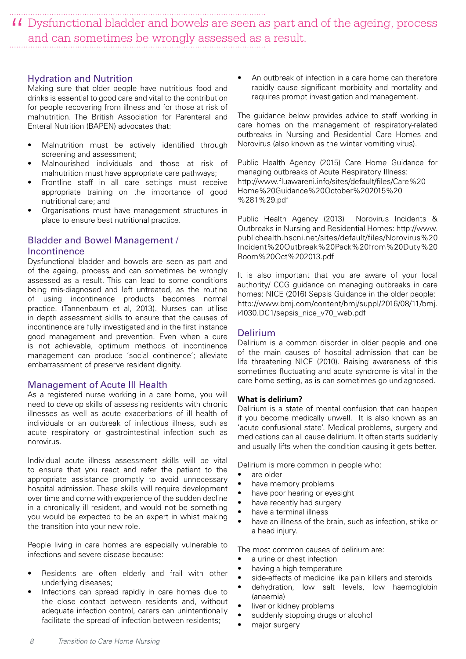II Dysfunctional bladder and bowels are seen as part and of the ageing, process and can sometimes be wrongly assessed as a result. and can sometimes be wrongly assessed as a result.

#### Hydration and Nutrition

Making sure that older people have nutritious food and drinks is essential to good care and vital to the contribution for people recovering from illness and for those at risk of malnutrition. The British Association for Parenteral and Enteral Nutrition (BAPEN) advocates that:

- Malnutrition must be actively identified through screening and assessment;
- Malnourished individuals and those at risk of malnutrition must have appropriate care pathways;
- Frontline staff in all care settings must receive appropriate training on the importance of good nutritional care; and
- Organisations must have management structures in place to ensure best nutritional practice.

# Bladder and Bowel Management / Incontinence

Dysfunctional bladder and bowels are seen as part and of the ageing, process and can sometimes be wrongly assessed as a result. This can lead to some conditions being mis-diagnosed and left untreated, as the routine of using incontinence products becomes normal practice. (Tannenbaum et al, 2013). Nurses can utilise in depth assessment skills to ensure that the causes of incontinence are fully investigated and in the first instance good management and prevention. Even when a cure is not achievable, optimum methods of incontinence management can produce 'social continence'; alleviate embarrassment of preserve resident dignity.

#### Management of Acute Ill Health

As a registered nurse working in a care home, you will need to develop skills of assessing residents with chronic illnesses as well as acute exacerbations of ill health of individuals or an outbreak of infectious illness, such as acute respiratory or gastrointestinal infection such as norovirus.

Individual acute illness assessment skills will be vital to ensure that you react and refer the patient to the appropriate assistance promptly to avoid unnecessary hospital admission. These skills will require development over time and come with experience of the sudden decline in a chronically ill resident, and would not be something you would be expected to be an expert in whist making the transition into your new role.

People living in care homes are especially vulnerable to infections and severe disease because:

- Residents are often elderly and frail with other underlying diseases;
- Infections can spread rapidly in care homes due to the close contact between residents and, without adequate infection control, carers can unintentionally facilitate the spread of infection between residents;

An outbreak of infection in a care home can therefore rapidly cause significant morbidity and mortality and requires prompt investigation and management.

The guidance below provides advice to staff working in care homes on the management of respiratory-related outbreaks in Nursing and Residential Care Homes and Norovirus (also known as the winter vomiting virus).

Public Health Agency (2015) Care Home Guidance for managing outbreaks of Acute Respiratory Illness: http://www.fluawareni.info/sites/default/files/Care%20 Home%20Guidance%20October%202015%20 %281%29.pdf

Public Health Agency (2013) Norovirus Incidents & Outbreaks in Nursing and Residential Homes: http://www. publichealth.hscni.net/sites/default/files/Norovirus%20 Incident%20Outbreak%20Pack%20from%20Duty%20 Room%20Oct%202013.pdf

It is also important that you are aware of your local authority/ CCG guidance on managing outbreaks in care homes: NICE (2016) Sepsis Guidance in the older people: http://www.bmj.com/content/bmj/suppl/2016/08/11/bmj. i4030.DC1/sepsis\_nice\_v70\_web.pdf

#### Delirium

Delirium is a common disorder in older people and one of the main causes of hospital admission that can be life threatening NICE (2010). Raising awareness of this sometimes fluctuating and acute syndrome is vital in the care home setting, as is can sometimes go undiagnosed.

#### **What is delirium?**

Delirium is a state of mental confusion that can happen if you become medically unwell. It is also known as an 'acute confusional state'. Medical problems, surgery and medications can all cause delirium. It often starts suddenly and usually lifts when the condition causing it gets better.

Delirium is more common in people who:

- are older
- have memory problems
- have poor hearing or eyesight
- have recently had surgery
- have a terminal illness
- have an illness of the brain, such as infection, strike or a head injury.

The most common causes of delirium are:

- a urine or chest infection
- having a high temperature
- side-effects of medicine like pain killers and steroids
- dehydration, low salt levels, low haemoglobin (anaemia)
- liver or kidney problems
- suddenly stopping drugs or alcohol
- major surgery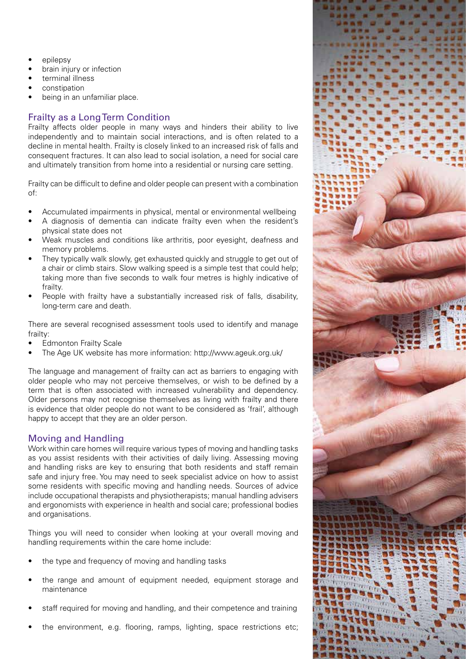- epilepsy
- brain injury or infection
- terminal illness
- constipation
- being in an unfamiliar place.

# Frailty as a Long Term Condition

Frailty affects older people in many ways and hinders their ability to live independently and to maintain social interactions, and is often related to a decline in mental health. Frailty is closely linked to an increased risk of falls and consequent fractures. It can also lead to social isolation, a need for social care and ultimately transition from home into a residential or nursing care setting.

Frailty can be difficult to define and older people can present with a combination of:

- Accumulated impairments in physical, mental or environmental wellbeing
- A diagnosis of dementia can indicate frailty even when the resident's physical state does not
- Weak muscles and conditions like arthritis, poor eyesight, deafness and memory problems.
- They typically walk slowly, get exhausted quickly and struggle to get out of a chair or climb stairs. Slow walking speed is a simple test that could help; taking more than five seconds to walk four metres is highly indicative of frailty.
- People with frailty have a substantially increased risk of falls, disability, long-term care and death.

There are several recognised assessment tools used to identify and manage frailty:

- **Edmonton Frailty Scale**
- The Age UK website has more information: http://www.ageuk.org.uk/

The language and management of frailty can act as barriers to engaging with older people who may not perceive themselves, or wish to be defined by a term that is often associated with increased vulnerability and dependency. Older persons may not recognise themselves as living with frailty and there is evidence that older people do not want to be considered as 'frail', although happy to accept that they are an older person.

# Moving and Handling

Work within care homes will require various types of moving and handling tasks as you assist residents with their activities of daily living. Assessing moving and handling risks are key to ensuring that both residents and staff remain safe and injury free. You may need to seek specialist advice on how to assist some residents with specific moving and handling needs. Sources of advice include occupational therapists and physiotherapists; manual handling advisers and ergonomists with experience in health and social care; professional bodies and organisations.

Things you will need to consider when looking at your overall moving and handling requirements within the care home include:

- the type and frequency of moving and handling tasks
- the range and amount of equipment needed, equipment storage and maintenance
- staff required for moving and handling, and their competence and training
- the environment, e.g. flooring, ramps, lighting, space restrictions etc;

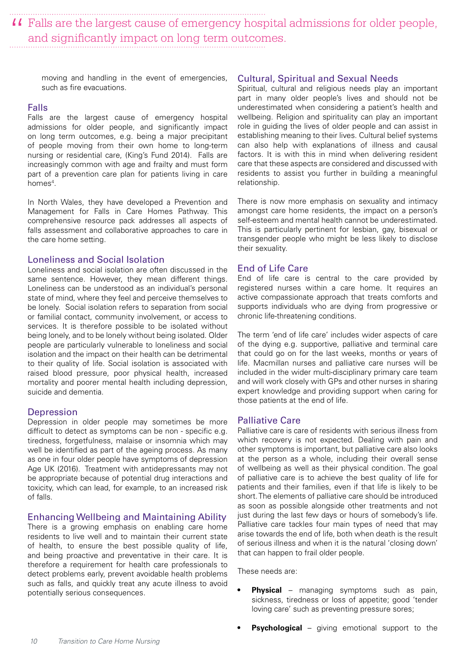II Falls are the largest cause of emergency hospital admissions for older people, and significantly impact on long term outcomes. and significantly impact on long term outcomes.

moving and handling in the event of emergencies, such as fire evacuations.

#### Falls

Falls are the largest cause of emergency hospital admissions for older people, and significantly impact on long term outcomes, e.g. being a major precipitant of people moving from their own home to long-term nursing or residential care, (King's Fund 2014). Falls are increasingly common with age and frailty and must form part of a prevention care plan for patients living in care homes<sup>4</sup>.

In North Wales, they have developed a Prevention and Management for Falls in Care Homes Pathway. This comprehensive resource pack addresses all aspects of falls assessment and collaborative approaches to care in the care home setting.

#### Loneliness and Social Isolation

Loneliness and social isolation are often discussed in the same sentence. However, they mean different things. Loneliness can be understood as an individual's personal state of mind, where they feel and perceive themselves to be lonely. Social isolation refers to separation from social or familial contact, community involvement, or access to services. It is therefore possible to be isolated without being lonely, and to be lonely without being isolated. Older people are particularly vulnerable to loneliness and social isolation and the impact on their health can be detrimental to their quality of life. Social isolation is associated with raised blood pressure, poor physical health, increased mortality and poorer mental health including depression, suicide and dementia.

#### **Depression**

Depression in older people may sometimes be more difficult to detect as symptoms can be non - specific e.g. tiredness, forgetfulness, malaise or insomnia which may well be identified as part of the ageing process. As many as one in four older people have symptoms of depression Age UK (2016). Treatment with antidepressants may not be appropriate because of potential drug interactions and toxicity, which can lead, for example, to an increased risk of falls.

#### Enhancing Wellbeing and Maintaining Ability

There is a growing emphasis on enabling care home residents to live well and to maintain their current state of health, to ensure the best possible quality of life, and being proactive and preventative in their care. It is therefore a requirement for health care professionals to detect problems early, prevent avoidable health problems such as falls, and quickly treat any acute illness to avoid potentially serious consequences.

#### Cultural, Spiritual and Sexual Needs

Spiritual, cultural and religious needs play an important part in many older people's lives and should not be underestimated when considering a patient's health and wellbeing. Religion and spirituality can play an important role in guiding the lives of older people and can assist in establishing meaning to their lives. Cultural belief systems can also help with explanations of illness and causal factors. It is with this in mind when delivering resident care that these aspects are considered and discussed with residents to assist you further in building a meaningful relationship.

There is now more emphasis on sexuality and intimacy amongst care home residents, the impact on a person's self-esteem and mental health cannot be underestimated. This is particularly pertinent for lesbian, gay, bisexual or transgender people who might be less likely to disclose their sexuality.

#### End of Life Care

End of life care is central to the care provided by registered nurses within a care home. It requires an active compassionate approach that treats comforts and supports individuals who are dying from progressive or chronic life-threatening conditions.

The term 'end of life care' includes wider aspects of care of the dying e.g. supportive, palliative and terminal care that could go on for the last weeks, months or years of life. Macmillan nurses and palliative care nurses will be included in the wider multi-disciplinary primary care team and will work closely with GPs and other nurses in sharing expert knowledge and providing support when caring for those patients at the end of life.

#### Palliative Care

Palliative care is care of residents with serious illness from which recovery is not expected. Dealing with pain and other symptoms is important, but palliative care also looks at the person as a whole, including their overall sense of wellbeing as well as their physical condition. The goal of palliative care is to achieve the best quality of life for patients and their families, even if that life is likely to be short. The elements of palliative care should be introduced as soon as possible alongside other treatments and not just during the last few days or hours of somebody's life. Palliative care tackles four main types of need that may arise towards the end of life, both when death is the result of serious illness and when it is the natural 'closing down' that can happen to frail older people.

These needs are:

- **Physical** managing symptoms such as pain, sickness, tiredness or loss of appetite; good 'tender loving care' such as preventing pressure sores;
- **Psychological** giving emotional support to the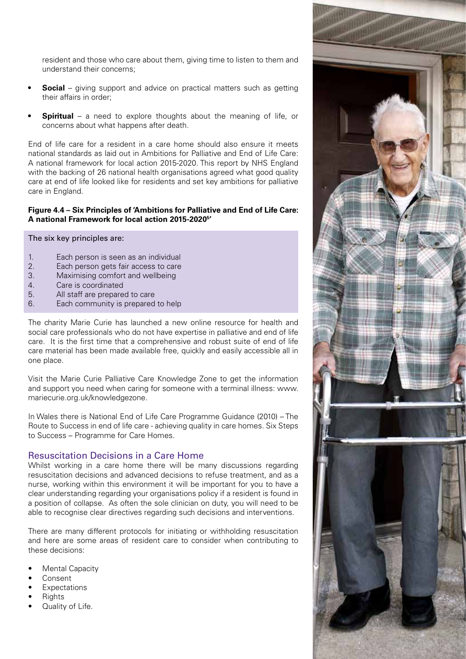resident and those who care about them, giving time to listen to them and understand their concerns;

- **Social** giving support and advice on practical matters such as getting their affairs in order;
- **Spiritual** a need to explore thoughts about the meaning of life, or concerns about what happens after death.

End of life care for a resident in a care home should also ensure it meets national standards as laid out in Ambitions for Palliative and End of Life Care: A national framework for local action 2015-2020. This report by NHS England with the backing of 26 national health organisations agreed what good quality care at end of life looked like for residents and set key ambitions for palliative care in England.

#### **Figure 4.4 – Six Principles of 'Ambitions for Palliative and End of Life Care: A national Framework for local action 2015-20205 '**

#### The six key principles are:

- 1. Each person is seen as an individual
- 2. Each person gets fair access to care
- 3. Maximising comfort and wellbeing
- 4. Care is coordinated
- 5. All staff are prepared to care
- 6. Each community is prepared to help

The charity Marie Curie has launched a new online resource for health and social care professionals who do not have expertise in palliative and end of life care. It is the first time that a comprehensive and robust suite of end of life care material has been made available free, quickly and easily accessible all in one place.

Visit the Marie Curie Palliative Care Knowledge Zone to get the information and support you need when caring for someone with a terminal illness: www. mariecurie.org.uk/knowledgezone.

In Wales there is National End of Life Care Programme Guidance (2010) – The Route to Success in end of life care - achieving quality in care homes. Six Steps to Success – Programme for Care Homes.

# Resuscitation Decisions in a Care Home

Whilst working in a care home there will be many discussions regarding resuscitation decisions and advanced decisions to refuse treatment, and as a nurse, working within this environment it will be important for you to have a clear understanding regarding your organisations policy if a resident is found in a position of collapse. As often the sole clinician on duty, you will need to be able to recognise clear directives regarding such decisions and interventions.

There are many different protocols for initiating or withholding resuscitation and here are some areas of resident care to consider when contributing to these decisions:

- **Mental Capacity**
- Consent
- **Expectations**
- **Rights**
- Quality of Life.

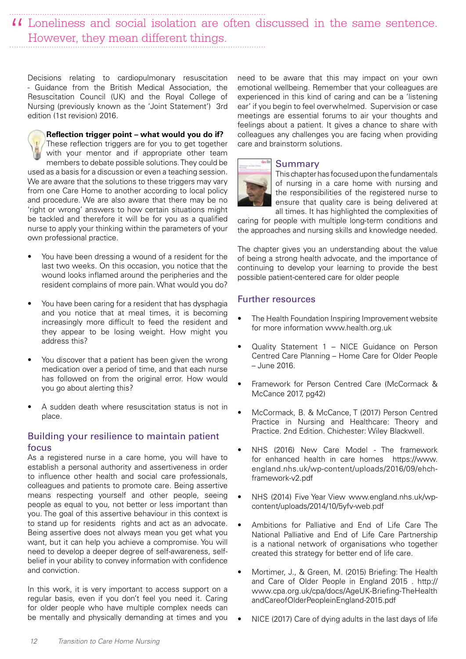# Loneliness and social isolation are often discussed in the same sentence. " However, they mean different things.

Decisions relating to cardiopulmonary resuscitation - Guidance from the British Medical Association, the Resuscitation Council (UK) and the Royal College of Nursing (previously known as the 'Joint Statement') 3rd edition (1st revision) 2016.

**Reflection trigger point – what would you do if?**  These reflection triggers are for you to get together with your mentor and if appropriate other team members to debate possible solutions. They could be used as a basis for a discussion or even a teaching session. We are aware that the solutions to these triggers may vary from one Care Home to another according to local policy and procedure. We are also aware that there may be no 'right or wrong' answers to how certain situations might be tackled and therefore it will be for you as a qualified nurse to apply your thinking within the parameters of your own professional practice.

- You have been dressing a wound of a resident for the last two weeks. On this occasion, you notice that the wound looks inflamed around the peripheries and the resident complains of more pain. What would you do?
- You have been caring for a resident that has dysphagia and you notice that at meal times, it is becoming increasingly more difficult to feed the resident and they appear to be losing weight. How might you address this?
- You discover that a patient has been given the wrong medication over a period of time, and that each nurse has followed on from the original error. How would you go about alerting this?
- A sudden death where resuscitation status is not in place.

# Building your resilience to maintain patient focus

As a registered nurse in a care home, you will have to establish a personal authority and assertiveness in order to influence other health and social care professionals, colleagues and patients to promote care. Being assertive means respecting yourself and other people, seeing people as equal to you, not better or less important than you. The goal of this assertive behaviour in this context is to stand up for residents rights and act as an advocate. Being assertive does not always mean you get what you want, but it can help you achieve a compromise. You will need to develop a deeper degree of self-awareness, selfbelief in your ability to convey information with confidence and conviction.

In this work, it is very important to access support on a regular basis, even if you don't feel you need it. Caring for older people who have multiple complex needs can be mentally and physically demanding at times and you need to be aware that this may impact on your own emotional wellbeing. Remember that your colleagues are experienced in this kind of caring and can be a 'listening ear' if you begin to feel overwhelmed. Supervision or case meetings are essential forums to air your thoughts and feelings about a patient. It gives a chance to share with colleagues any challenges you are facing when providing care and brainstorm solutions.

# Summary

This chapter has focused upon the fundamentals of nursing in a care home with nursing and the responsibilities of the registered nurse to ensure that quality care is being delivered at all times. It has highlighted the complexities of

caring for people with multiple long-term conditions and the approaches and nursing skills and knowledge needed.

The chapter gives you an understanding about the value of being a strong health advocate, and the importance of continuing to develop your learning to provide the best possible patient-centered care for older people

# Further resources

- The Health Foundation Inspiring Improvement website for more information www.health.org.uk
- Quality Statement 1 NICE Guidance on Person Centred Care Planning – Home Care for Older People – June 2016.
- Framework for Person Centred Care (McCormack & McCance 2017, pg42)
- McCormack, B. & McCance, T (2017) Person Centred Practice in Nursing and Healthcare: Theory and Practice. 2nd Edition. Chichester: Wiley Blackwell.
- NHS (2016) New Care Model The framework for enhanced health in care homes https://www. england.nhs.uk/wp-content/uploads/2016/09/ehchframework-v2.pdf
- NHS (2014) Five Year View www.england.nhs.uk/wpcontent/uploads/2014/10/5yfv-web.pdf
- Ambitions for Palliative and End of Life Care The National Palliative and End of Life Care Partnership is a national network of organisations who together created this strategy for better end of life care.
- Mortimer, J., & Green, M. (2015) Briefing: The Health and Care of Older People in England 2015 . http:// www.cpa.org.uk/cpa/docs/AgeUK-Briefing-TheHealth andCareofOlderPeopleinEngland-2015.pdf
- NICE (2017) Care of dying adults in the last days of life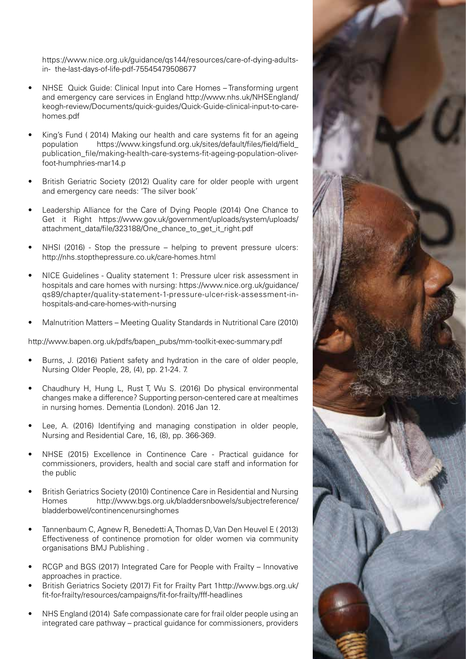https://www.nice.org.uk/guidance/qs144/resources/care-of-dying-adultsin- the-last-days-of-life-pdf-75545479508677

- NHSE Quick Guide: Clinical Input into Care Homes Transforming urgent and emergency care services in England http://www.nhs.uk/NHSEngland/ keogh-review/Documents/quick-guides/Quick-Guide-clinical-input-to-carehomes.pdf
- King's Fund ( 2014) Making our health and care systems fit for an ageing population https://www.kingsfund.org.uk/sites/default/files/field/field\_ publication\_file/making-health-care-systems-fit-ageing-population-oliverfoot-humphries-mar14.p
- British Geriatric Society (2012) Quality care for older people with urgent and emergency care needs: 'The silver book'
- Leadership Alliance for the Care of Dying People (2014) One Chance to Get it Right https://www.gov.uk/government/uploads/system/uploads/ attachment\_data/file/323188/One\_chance\_to\_get\_it\_right.pdf
- NHSI (2016) Stop the pressure helping to prevent pressure ulcers: http://nhs.stopthepressure.co.uk/care-homes.html
- NICE Guidelines Quality statement 1: Pressure ulcer risk assessment in hospitals and care homes with nursing: https://www.nice.org.uk/guidance/ qs89/chapter/quality-statement-1-pressure-ulcer-risk-assessment-inhospitals-and-care-homes-with-nursing
- Malnutrition Matters Meeting Quality Standards in Nutritional Care (2010)

http://www.bapen.org.uk/pdfs/bapen\_pubs/mm-toolkit-exec-summary.pdf

- Burns, J. (2016) Patient safety and hydration in the care of older people, Nursing Older People, 28, (4), pp. 21-24. 7.
- Chaudhury H, Hung L, Rust T, Wu S. (2016) Do physical environmental changes make a difference? Supporting person-centered care at mealtimes in nursing homes. Dementia (London). 2016 Jan 12.
- Lee, A. (2016) Identifying and managing constipation in older people, Nursing and Residential Care, 16, (8), pp. 366-369.
- NHSE (2015) Excellence in Continence Care Practical guidance for commissioners, providers, health and social care staff and information for the public
- British Geriatrics Society (2010) Continence Care in Residential and Nursing Homes http://www.bgs.org.uk/bladdersnbowels/subjectreference/ bladderbowel/continencenursinghomes
- Tannenbaum C, Agnew R, Benedetti A, Thomas D, Van Den Heuvel E ( 2013) Effectiveness of continence promotion for older women via community organisations BMJ Publishing .
- RCGP and BGS (2017) Integrated Care for People with Frailty Innovative approaches in practice.
- British Geriatrics Society (2017) Fit for Frailty Part 1http://www.bgs.org.uk/ fit-for-frailty/resources/campaigns/fit-for-frailty/fff-headlines
- NHS England (2014) Safe compassionate care for frail older people using an integrated care pathway – practical guidance for commissioners, providers

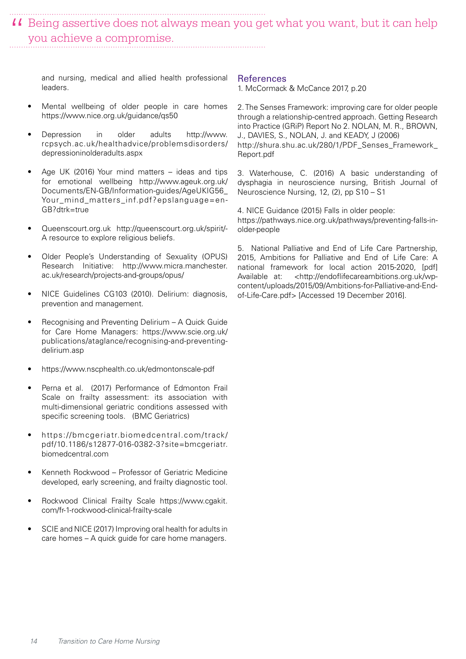II Being assertive does not always mean you get what you want, but it can help you achieve a compromise. you achieve a compromise.

and nursing, medical and allied health professional leaders.

- Mental wellbeing of older people in care homes https://www.nice.org.uk/guidance/qs50
- Depression in older adults http://www. rcpsych.ac.uk/healthadvice/problemsdisorders/ depressioninolderadults.aspx
- Age UK (2016) Your mind matters ideas and tips for emotional wellbeing http://www.ageuk.org.uk/ Documents/EN-GB/Information-guides/AgeUKIG56\_ Your\_mind\_matters\_inf.pdf?epslanguage=en-GB?dtrk=true
- Queenscourt.org.uk http://queenscourt.org.uk/spirit/- A resource to explore religious beliefs.
- Older People's Understanding of Sexuality (OPUS) Research Initiative: http://www.micra.manchester. ac.uk/research/projects-and-groups/opus/
- NICE Guidelines CG103 (2010). Delirium: diagnosis, prevention and management.
- Recognising and Preventing Delirium A Quick Guide for Care Home Managers: https://www.scie.org.uk/ publications/ataglance/recognising-and-preventingdelirium.asp
- https://www.nscphealth.co.uk/edmontonscale-pdf
- Perna et al. (2017) Performance of Edmonton Frail Scale on frailty assessment: its association with multi-dimensional geriatric conditions assessed with specific screening tools. (BMC Geriatrics)
- https://bmcgeriatr.biomedcentral.com/track/ pdf/10.1186/s12877-016-0382-3?site=bmcgeriatr. biomedcentral.com
- Kenneth Rockwood Professor of Geriatric Medicine developed, early screening, and frailty diagnostic tool.
- Rockwood Clinical Frailty Scale https://www.cgakit. com/fr-1-rockwood-clinical-frailty-scale
- SCIE and NICE (2017) Improving oral health for adults in care homes – A quick guide for care home managers.

#### References

1. McCormack & McCance 2017, p.20

2. The Senses Framework: improving care for older people through a relationship-centred approach. Getting Research into Practice (GRiP) Report No 2. NOLAN, M. R., BROWN, J., DAVIES, S., NOLAN, J. and KEADY, J (2006) http://shura.shu.ac.uk/280/1/PDF\_Senses\_Framework\_ Report.pdf

3. Waterhouse, C. (2016) A basic understanding of dysphagia in neuroscience nursing, British Journal of Neuroscience Nursing, 12, (2), pp S10 – S1

4. NICE Guidance (2015) Falls in older people: https://pathways.nice.org.uk/pathways/preventing-falls-inolder-people

5. National Palliative and End of Life Care Partnership, 2015, Ambitions for Palliative and End of Life Care: A national framework for local action 2015-2020, [pdf] Available at: <http://endoflifecareambitions.org.uk/wpcontent/uploads/2015/09/Ambitions-for-Palliative-and-Endof-Life-Care.pdf> [Accessed 19 December 2016].